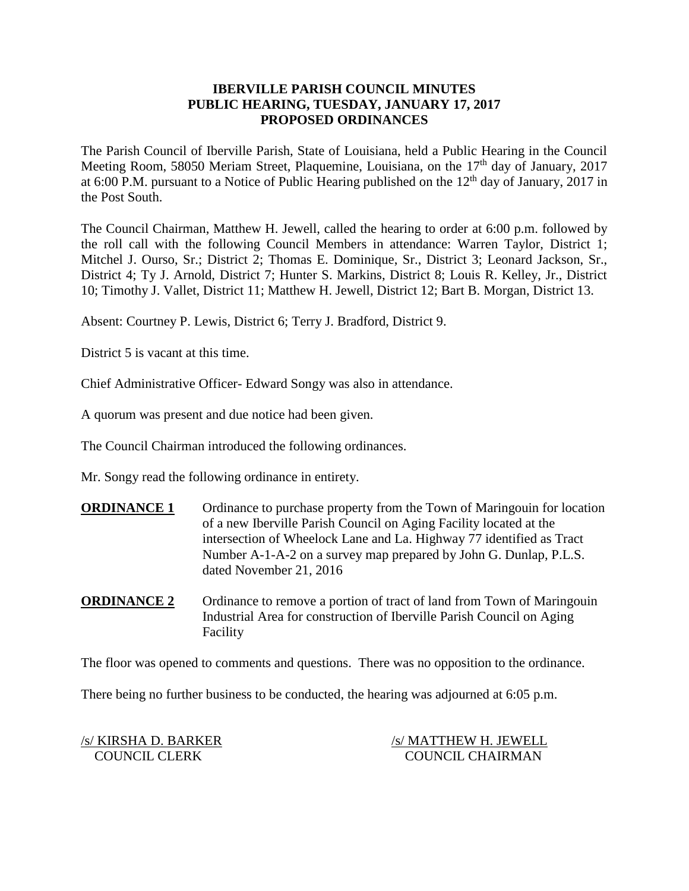## **IBERVILLE PARISH COUNCIL MINUTES PUBLIC HEARING, TUESDAY, JANUARY 17, 2017 PROPOSED ORDINANCES**

The Parish Council of Iberville Parish, State of Louisiana, held a Public Hearing in the Council Meeting Room, 58050 Meriam Street, Plaquemine, Louisiana, on the 17<sup>th</sup> day of January, 2017 at 6:00 P.M. pursuant to a Notice of Public Hearing published on the  $12<sup>th</sup>$  day of January, 2017 in the Post South.

The Council Chairman, Matthew H. Jewell, called the hearing to order at 6:00 p.m. followed by the roll call with the following Council Members in attendance: Warren Taylor, District 1; Mitchel J. Ourso, Sr.; District 2; Thomas E. Dominique, Sr., District 3; Leonard Jackson, Sr., District 4; Ty J. Arnold, District 7; Hunter S. Markins, District 8; Louis R. Kelley, Jr., District 10; Timothy J. Vallet, District 11; Matthew H. Jewell, District 12; Bart B. Morgan, District 13.

Absent: Courtney P. Lewis, District 6; Terry J. Bradford, District 9.

District 5 is vacant at this time.

Chief Administrative Officer- Edward Songy was also in attendance.

A quorum was present and due notice had been given.

The Council Chairman introduced the following ordinances.

Mr. Songy read the following ordinance in entirety.

**ORDINANCE 1** Ordinance to purchase property from the Town of Maringouin for location of a new Iberville Parish Council on Aging Facility located at the intersection of Wheelock Lane and La. Highway 77 identified as Tract Number A-1-A-2 on a survey map prepared by John G. Dunlap, P.L.S. dated November 21, 2016

**ORDINANCE 2** Ordinance to remove a portion of tract of land from Town of Maringouin Industrial Area for construction of Iberville Parish Council on Aging Facility

The floor was opened to comments and questions. There was no opposition to the ordinance.

There being no further business to be conducted, the hearing was adjourned at 6:05 p.m.

/s/ KIRSHA D. BARKER /s/ MATTHEW H. JEWELL COUNCIL CLERK COUNCIL CHAIRMAN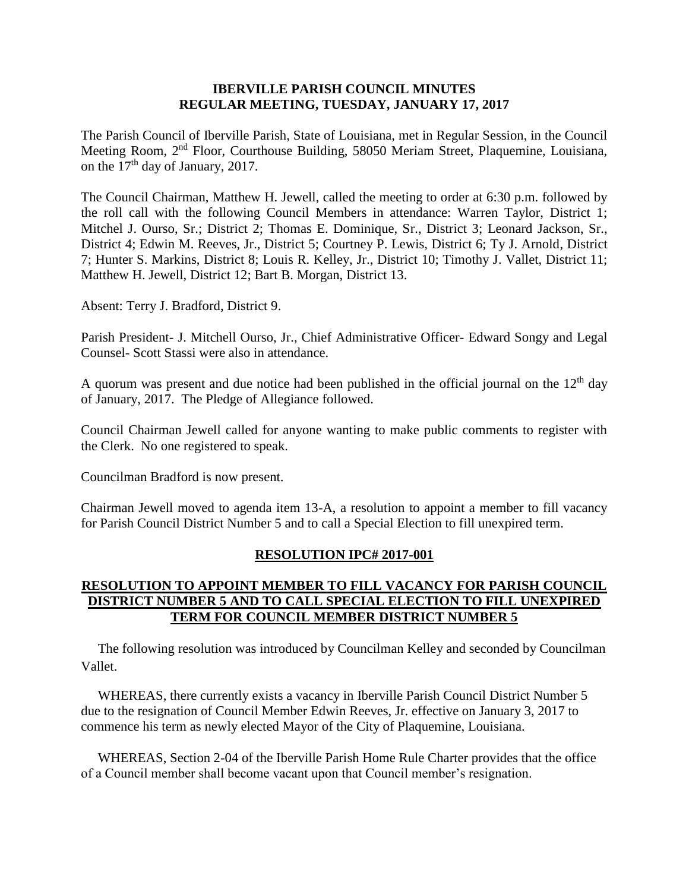### **IBERVILLE PARISH COUNCIL MINUTES REGULAR MEETING, TUESDAY, JANUARY 17, 2017**

The Parish Council of Iberville Parish, State of Louisiana, met in Regular Session, in the Council Meeting Room, 2nd Floor, Courthouse Building, 58050 Meriam Street, Plaquemine, Louisiana, on the  $17<sup>th</sup>$  day of January, 2017.

The Council Chairman, Matthew H. Jewell, called the meeting to order at 6:30 p.m. followed by the roll call with the following Council Members in attendance: Warren Taylor, District 1; Mitchel J. Ourso, Sr.; District 2; Thomas E. Dominique, Sr., District 3; Leonard Jackson, Sr., District 4; Edwin M. Reeves, Jr., District 5; Courtney P. Lewis, District 6; Ty J. Arnold, District 7; Hunter S. Markins, District 8; Louis R. Kelley, Jr., District 10; Timothy J. Vallet, District 11; Matthew H. Jewell, District 12; Bart B. Morgan, District 13.

Absent: Terry J. Bradford, District 9.

Parish President- J. Mitchell Ourso, Jr., Chief Administrative Officer- Edward Songy and Legal Counsel- Scott Stassi were also in attendance.

A quorum was present and due notice had been published in the official journal on the  $12<sup>th</sup>$  day of January, 2017. The Pledge of Allegiance followed.

Council Chairman Jewell called for anyone wanting to make public comments to register with the Clerk. No one registered to speak.

Councilman Bradford is now present.

Chairman Jewell moved to agenda item 13-A, a resolution to appoint a member to fill vacancy for Parish Council District Number 5 and to call a Special Election to fill unexpired term.

### **RESOLUTION IPC# 2017-001**

# **RESOLUTION TO APPOINT MEMBER TO FILL VACANCY FOR PARISH COUNCIL DISTRICT NUMBER 5 AND TO CALL SPECIAL ELECTION TO FILL UNEXPIRED TERM FOR COUNCIL MEMBER DISTRICT NUMBER 5**

 The following resolution was introduced by Councilman Kelley and seconded by Councilman Vallet.

 WHEREAS, there currently exists a vacancy in Iberville Parish Council District Number 5 due to the resignation of Council Member Edwin Reeves, Jr. effective on January 3, 2017 to commence his term as newly elected Mayor of the City of Plaquemine, Louisiana.

 WHEREAS, Section 2-04 of the Iberville Parish Home Rule Charter provides that the office of a Council member shall become vacant upon that Council member's resignation.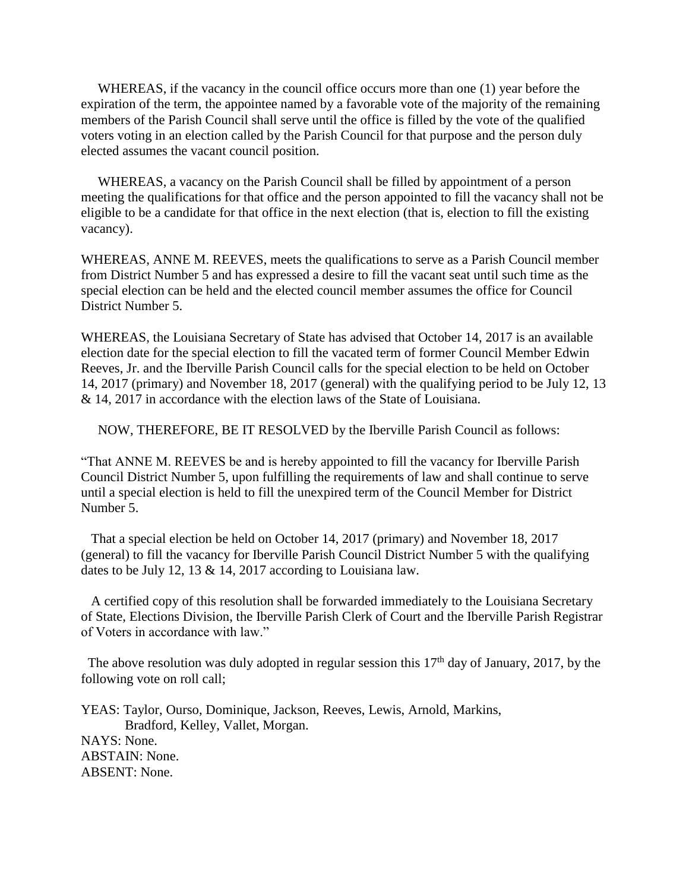WHEREAS, if the vacancy in the council office occurs more than one (1) year before the expiration of the term, the appointee named by a favorable vote of the majority of the remaining members of the Parish Council shall serve until the office is filled by the vote of the qualified voters voting in an election called by the Parish Council for that purpose and the person duly elected assumes the vacant council position.

 WHEREAS, a vacancy on the Parish Council shall be filled by appointment of a person meeting the qualifications for that office and the person appointed to fill the vacancy shall not be eligible to be a candidate for that office in the next election (that is, election to fill the existing vacancy).

WHEREAS, ANNE M. REEVES, meets the qualifications to serve as a Parish Council member from District Number 5 and has expressed a desire to fill the vacant seat until such time as the special election can be held and the elected council member assumes the office for Council District Number 5.

WHEREAS, the Louisiana Secretary of State has advised that October 14, 2017 is an available election date for the special election to fill the vacated term of former Council Member Edwin Reeves, Jr. and the Iberville Parish Council calls for the special election to be held on October 14, 2017 (primary) and November 18, 2017 (general) with the qualifying period to be July 12, 13 & 14, 2017 in accordance with the election laws of the State of Louisiana.

NOW, THEREFORE, BE IT RESOLVED by the Iberville Parish Council as follows:

"That ANNE M. REEVES be and is hereby appointed to fill the vacancy for Iberville Parish Council District Number 5, upon fulfilling the requirements of law and shall continue to serve until a special election is held to fill the unexpired term of the Council Member for District Number 5.

 That a special election be held on October 14, 2017 (primary) and November 18, 2017 (general) to fill the vacancy for Iberville Parish Council District Number 5 with the qualifying dates to be July 12, 13 & 14, 2017 according to Louisiana law.

 A certified copy of this resolution shall be forwarded immediately to the Louisiana Secretary of State, Elections Division, the Iberville Parish Clerk of Court and the Iberville Parish Registrar of Voters in accordance with law."

The above resolution was duly adopted in regular session this  $17<sup>th</sup>$  day of January, 2017, by the following vote on roll call;

YEAS: Taylor, Ourso, Dominique, Jackson, Reeves, Lewis, Arnold, Markins, Bradford, Kelley, Vallet, Morgan. NAYS: None. ABSTAIN: None. ABSENT: None.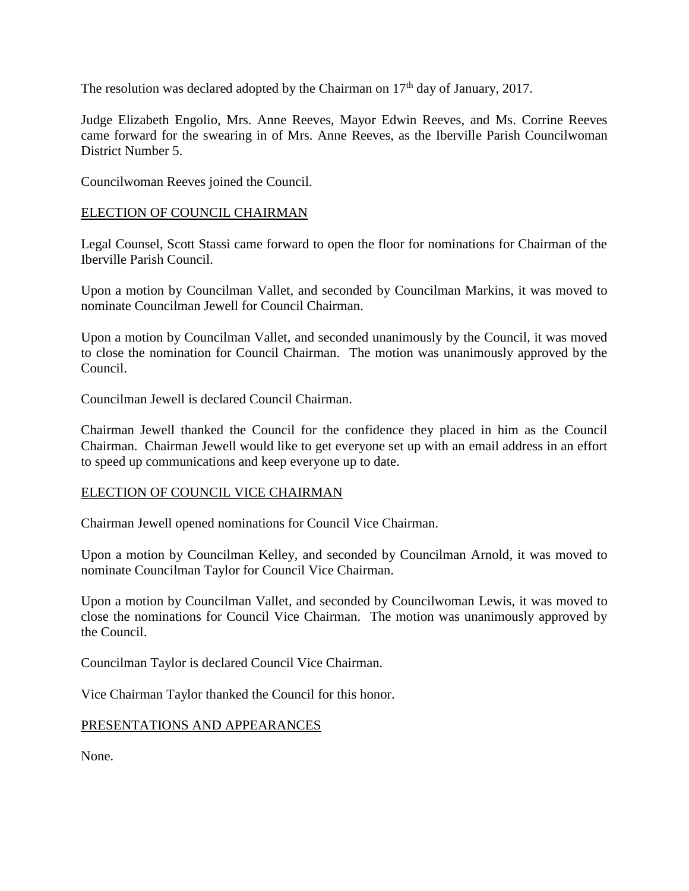The resolution was declared adopted by the Chairman on  $17<sup>th</sup>$  day of January, 2017.

Judge Elizabeth Engolio, Mrs. Anne Reeves, Mayor Edwin Reeves, and Ms. Corrine Reeves came forward for the swearing in of Mrs. Anne Reeves, as the Iberville Parish Councilwoman District Number 5.

Councilwoman Reeves joined the Council.

# ELECTION OF COUNCIL CHAIRMAN

Legal Counsel, Scott Stassi came forward to open the floor for nominations for Chairman of the Iberville Parish Council.

Upon a motion by Councilman Vallet, and seconded by Councilman Markins, it was moved to nominate Councilman Jewell for Council Chairman.

Upon a motion by Councilman Vallet, and seconded unanimously by the Council, it was moved to close the nomination for Council Chairman. The motion was unanimously approved by the Council.

Councilman Jewell is declared Council Chairman.

Chairman Jewell thanked the Council for the confidence they placed in him as the Council Chairman. Chairman Jewell would like to get everyone set up with an email address in an effort to speed up communications and keep everyone up to date.

### ELECTION OF COUNCIL VICE CHAIRMAN

Chairman Jewell opened nominations for Council Vice Chairman.

Upon a motion by Councilman Kelley, and seconded by Councilman Arnold, it was moved to nominate Councilman Taylor for Council Vice Chairman.

Upon a motion by Councilman Vallet, and seconded by Councilwoman Lewis, it was moved to close the nominations for Council Vice Chairman. The motion was unanimously approved by the Council.

Councilman Taylor is declared Council Vice Chairman.

Vice Chairman Taylor thanked the Council for this honor.

### PRESENTATIONS AND APPEARANCES

None.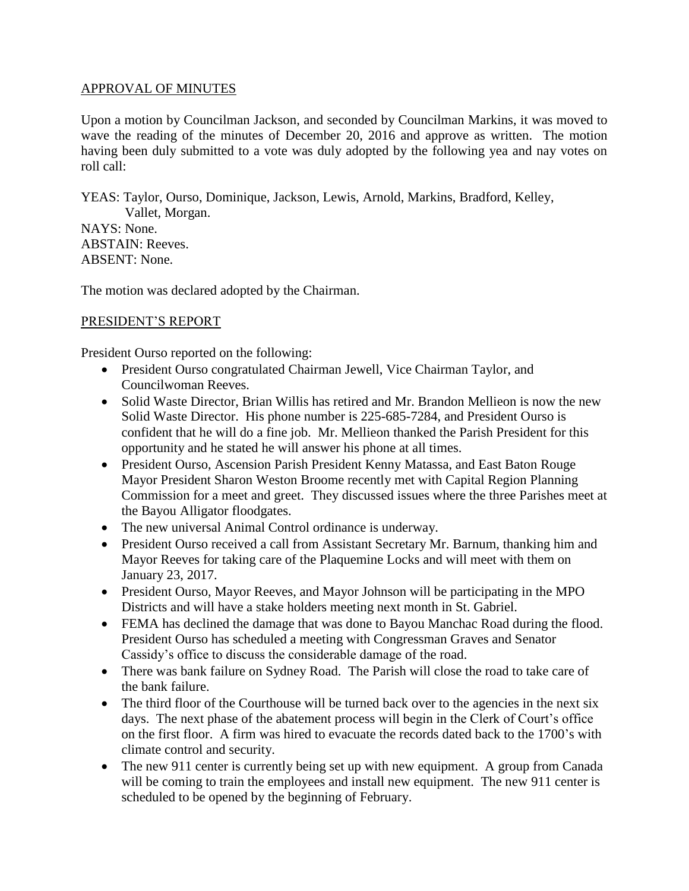# APPROVAL OF MINUTES

Upon a motion by Councilman Jackson, and seconded by Councilman Markins, it was moved to wave the reading of the minutes of December 20, 2016 and approve as written. The motion having been duly submitted to a vote was duly adopted by the following yea and nay votes on roll call:

YEAS: Taylor, Ourso, Dominique, Jackson, Lewis, Arnold, Markins, Bradford, Kelley, Vallet, Morgan. NAYS: None. ABSTAIN: Reeves. ABSENT: None.

The motion was declared adopted by the Chairman.

# PRESIDENT'S REPORT

President Ourso reported on the following:

- President Ourso congratulated Chairman Jewell, Vice Chairman Taylor, and Councilwoman Reeves.
- Solid Waste Director, Brian Willis has retired and Mr. Brandon Mellieon is now the new Solid Waste Director. His phone number is 225-685-7284, and President Ourso is confident that he will do a fine job. Mr. Mellieon thanked the Parish President for this opportunity and he stated he will answer his phone at all times.
- President Ourso, Ascension Parish President Kenny Matassa, and East Baton Rouge Mayor President Sharon Weston Broome recently met with Capital Region Planning Commission for a meet and greet. They discussed issues where the three Parishes meet at the Bayou Alligator floodgates.
- The new universal Animal Control ordinance is underway.
- President Ourso received a call from Assistant Secretary Mr. Barnum, thanking him and Mayor Reeves for taking care of the Plaquemine Locks and will meet with them on January 23, 2017.
- President Ourso, Mayor Reeves, and Mayor Johnson will be participating in the MPO Districts and will have a stake holders meeting next month in St. Gabriel.
- FEMA has declined the damage that was done to Bayou Manchac Road during the flood. President Ourso has scheduled a meeting with Congressman Graves and Senator Cassidy's office to discuss the considerable damage of the road.
- There was bank failure on Sydney Road. The Parish will close the road to take care of the bank failure.
- The third floor of the Courthouse will be turned back over to the agencies in the next six days. The next phase of the abatement process will begin in the Clerk of Court's office on the first floor. A firm was hired to evacuate the records dated back to the 1700's with climate control and security.
- The new 911 center is currently being set up with new equipment. A group from Canada will be coming to train the employees and install new equipment. The new 911 center is scheduled to be opened by the beginning of February.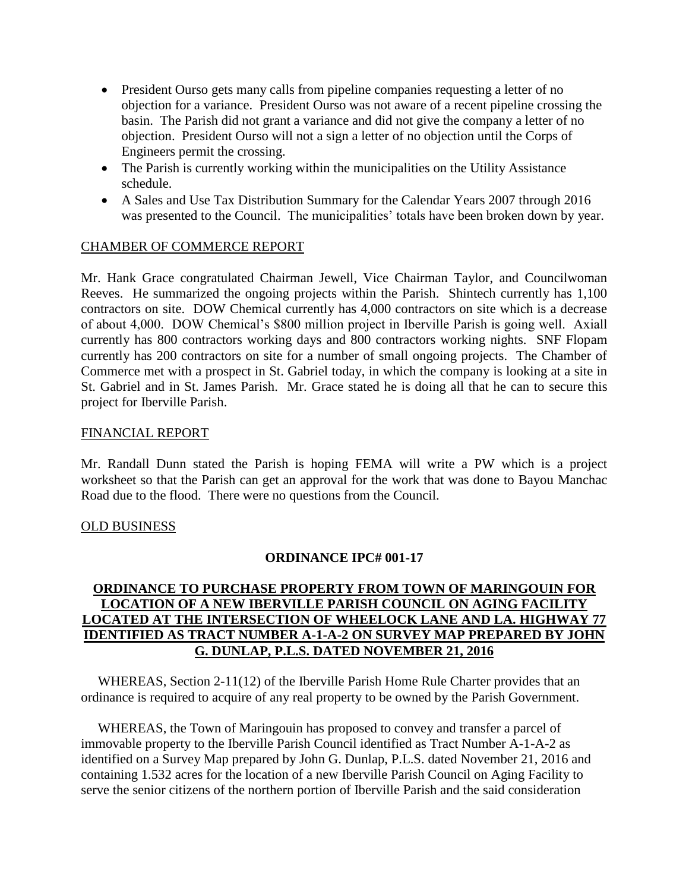- President Ourso gets many calls from pipeline companies requesting a letter of no objection for a variance. President Ourso was not aware of a recent pipeline crossing the basin. The Parish did not grant a variance and did not give the company a letter of no objection. President Ourso will not a sign a letter of no objection until the Corps of Engineers permit the crossing.
- The Parish is currently working within the municipalities on the Utility Assistance schedule.
- A Sales and Use Tax Distribution Summary for the Calendar Years 2007 through 2016 was presented to the Council. The municipalities' totals have been broken down by year.

### CHAMBER OF COMMERCE REPORT

Mr. Hank Grace congratulated Chairman Jewell, Vice Chairman Taylor, and Councilwoman Reeves. He summarized the ongoing projects within the Parish. Shintech currently has 1,100 contractors on site. DOW Chemical currently has 4,000 contractors on site which is a decrease of about 4,000. DOW Chemical's \$800 million project in Iberville Parish is going well. Axiall currently has 800 contractors working days and 800 contractors working nights. SNF Flopam currently has 200 contractors on site for a number of small ongoing projects. The Chamber of Commerce met with a prospect in St. Gabriel today, in which the company is looking at a site in St. Gabriel and in St. James Parish. Mr. Grace stated he is doing all that he can to secure this project for Iberville Parish.

### FINANCIAL REPORT

Mr. Randall Dunn stated the Parish is hoping FEMA will write a PW which is a project worksheet so that the Parish can get an approval for the work that was done to Bayou Manchac Road due to the flood. There were no questions from the Council.

### OLD BUSINESS

### **ORDINANCE IPC# 001-17**

# **ORDINANCE TO PURCHASE PROPERTY FROM TOWN OF MARINGOUIN FOR LOCATION OF A NEW IBERVILLE PARISH COUNCIL ON AGING FACILITY LOCATED AT THE INTERSECTION OF WHEELOCK LANE AND LA. HIGHWAY 77 IDENTIFIED AS TRACT NUMBER A-1-A-2 ON SURVEY MAP PREPARED BY JOHN G. DUNLAP, P.L.S. DATED NOVEMBER 21, 2016**

 WHEREAS, Section 2-11(12) of the Iberville Parish Home Rule Charter provides that an ordinance is required to acquire of any real property to be owned by the Parish Government.

 WHEREAS, the Town of Maringouin has proposed to convey and transfer a parcel of immovable property to the Iberville Parish Council identified as Tract Number A-1-A-2 as identified on a Survey Map prepared by John G. Dunlap, P.L.S. dated November 21, 2016 and containing 1.532 acres for the location of a new Iberville Parish Council on Aging Facility to serve the senior citizens of the northern portion of Iberville Parish and the said consideration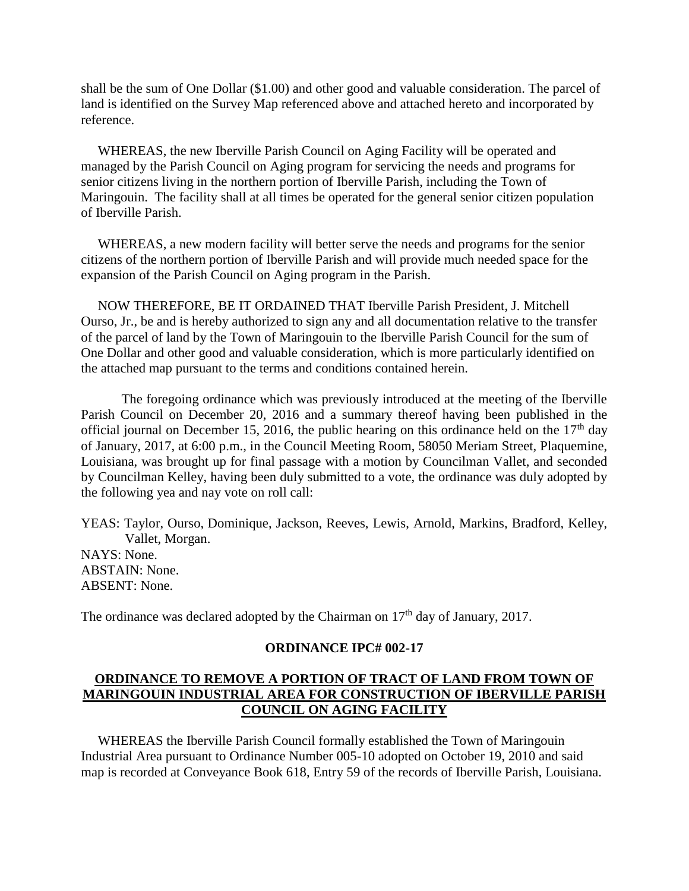shall be the sum of One Dollar (\$1.00) and other good and valuable consideration. The parcel of land is identified on the Survey Map referenced above and attached hereto and incorporated by reference.

 WHEREAS, the new Iberville Parish Council on Aging Facility will be operated and managed by the Parish Council on Aging program for servicing the needs and programs for senior citizens living in the northern portion of Iberville Parish, including the Town of Maringouin. The facility shall at all times be operated for the general senior citizen population of Iberville Parish.

 WHEREAS, a new modern facility will better serve the needs and programs for the senior citizens of the northern portion of Iberville Parish and will provide much needed space for the expansion of the Parish Council on Aging program in the Parish.

 NOW THEREFORE, BE IT ORDAINED THAT Iberville Parish President, J. Mitchell Ourso, Jr., be and is hereby authorized to sign any and all documentation relative to the transfer of the parcel of land by the Town of Maringouin to the Iberville Parish Council for the sum of One Dollar and other good and valuable consideration, which is more particularly identified on the attached map pursuant to the terms and conditions contained herein.

The foregoing ordinance which was previously introduced at the meeting of the Iberville Parish Council on December 20, 2016 and a summary thereof having been published in the official journal on December 15, 2016, the public hearing on this ordinance held on the  $17<sup>th</sup>$  day of January, 2017, at 6:00 p.m., in the Council Meeting Room, 58050 Meriam Street, Plaquemine, Louisiana, was brought up for final passage with a motion by Councilman Vallet, and seconded by Councilman Kelley, having been duly submitted to a vote, the ordinance was duly adopted by the following yea and nay vote on roll call:

YEAS: Taylor, Ourso, Dominique, Jackson, Reeves, Lewis, Arnold, Markins, Bradford, Kelley, Vallet, Morgan. NAYS: None. ABSTAIN: None. ABSENT: None.

The ordinance was declared adopted by the Chairman on  $17<sup>th</sup>$  day of January, 2017.

#### **ORDINANCE IPC# 002-17**

### **ORDINANCE TO REMOVE A PORTION OF TRACT OF LAND FROM TOWN OF MARINGOUIN INDUSTRIAL AREA FOR CONSTRUCTION OF IBERVILLE PARISH COUNCIL ON AGING FACILITY**

 WHEREAS the Iberville Parish Council formally established the Town of Maringouin Industrial Area pursuant to Ordinance Number 005-10 adopted on October 19, 2010 and said map is recorded at Conveyance Book 618, Entry 59 of the records of Iberville Parish, Louisiana.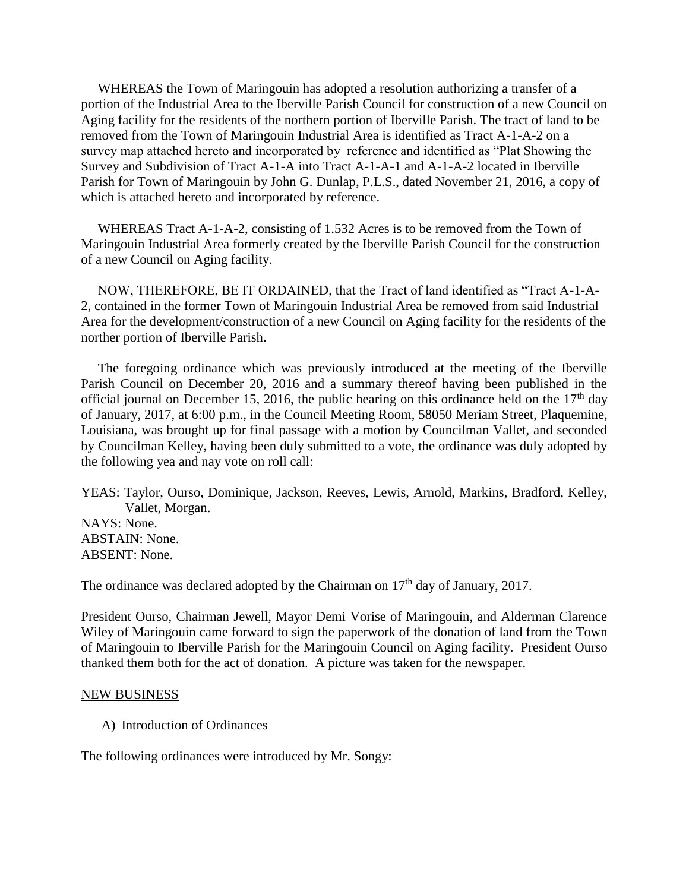WHEREAS the Town of Maringouin has adopted a resolution authorizing a transfer of a portion of the Industrial Area to the Iberville Parish Council for construction of a new Council on Aging facility for the residents of the northern portion of Iberville Parish. The tract of land to be removed from the Town of Maringouin Industrial Area is identified as Tract A-1-A-2 on a survey map attached hereto and incorporated by reference and identified as "Plat Showing the Survey and Subdivision of Tract A-1-A into Tract A-1-A-1 and A-1-A-2 located in Iberville Parish for Town of Maringouin by John G. Dunlap, P.L.S., dated November 21, 2016, a copy of which is attached hereto and incorporated by reference.

 WHEREAS Tract A-1-A-2, consisting of 1.532 Acres is to be removed from the Town of Maringouin Industrial Area formerly created by the Iberville Parish Council for the construction of a new Council on Aging facility.

 NOW, THEREFORE, BE IT ORDAINED, that the Tract of land identified as "Tract A-1-A-2, contained in the former Town of Maringouin Industrial Area be removed from said Industrial Area for the development/construction of a new Council on Aging facility for the residents of the norther portion of Iberville Parish.

 The foregoing ordinance which was previously introduced at the meeting of the Iberville Parish Council on December 20, 2016 and a summary thereof having been published in the official journal on December 15, 2016, the public hearing on this ordinance held on the  $17<sup>th</sup>$  day of January, 2017, at 6:00 p.m., in the Council Meeting Room, 58050 Meriam Street, Plaquemine, Louisiana, was brought up for final passage with a motion by Councilman Vallet, and seconded by Councilman Kelley, having been duly submitted to a vote, the ordinance was duly adopted by the following yea and nay vote on roll call:

YEAS: Taylor, Ourso, Dominique, Jackson, Reeves, Lewis, Arnold, Markins, Bradford, Kelley, Vallet, Morgan. NAYS: None. ABSTAIN: None. ABSENT: None.

The ordinance was declared adopted by the Chairman on  $17<sup>th</sup>$  day of January, 2017.

President Ourso, Chairman Jewell, Mayor Demi Vorise of Maringouin, and Alderman Clarence Wiley of Maringouin came forward to sign the paperwork of the donation of land from the Town of Maringouin to Iberville Parish for the Maringouin Council on Aging facility. President Ourso thanked them both for the act of donation. A picture was taken for the newspaper.

#### NEW BUSINESS

A) Introduction of Ordinances

The following ordinances were introduced by Mr. Songy: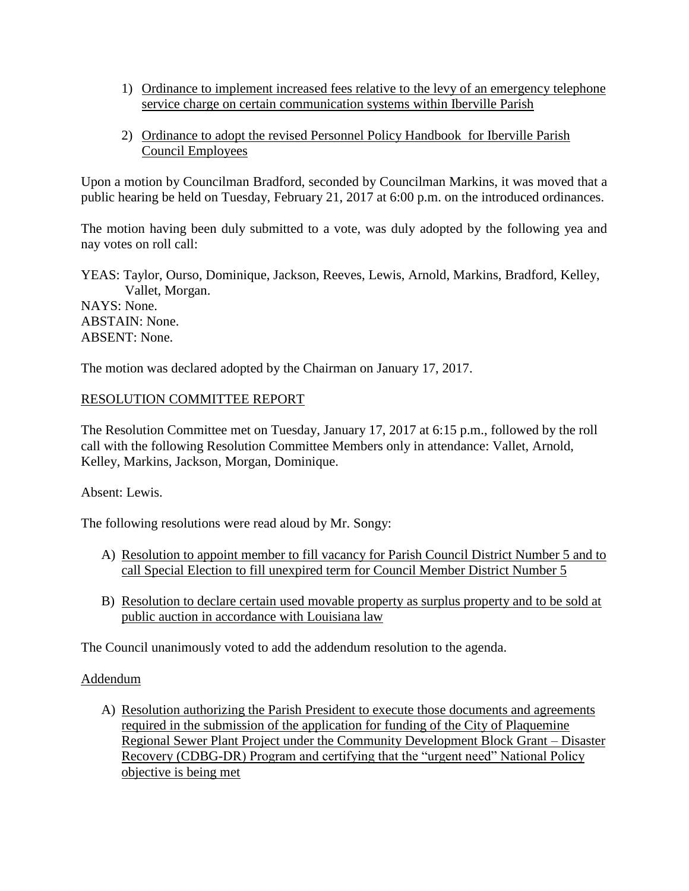- 1) Ordinance to implement increased fees relative to the levy of an emergency telephone service charge on certain communication systems within Iberville Parish
- 2) Ordinance to adopt the revised Personnel Policy Handbook for Iberville Parish Council Employees

Upon a motion by Councilman Bradford, seconded by Councilman Markins, it was moved that a public hearing be held on Tuesday, February 21, 2017 at 6:00 p.m. on the introduced ordinances.

The motion having been duly submitted to a vote, was duly adopted by the following yea and nay votes on roll call:

YEAS: Taylor, Ourso, Dominique, Jackson, Reeves, Lewis, Arnold, Markins, Bradford, Kelley, Vallet, Morgan. NAYS: None. ABSTAIN: None.

ABSENT: None.

The motion was declared adopted by the Chairman on January 17, 2017.

# RESOLUTION COMMITTEE REPORT

The Resolution Committee met on Tuesday, January 17, 2017 at 6:15 p.m., followed by the roll call with the following Resolution Committee Members only in attendance: Vallet, Arnold, Kelley, Markins, Jackson, Morgan, Dominique.

Absent: Lewis.

The following resolutions were read aloud by Mr. Songy:

- A) Resolution to appoint member to fill vacancy for Parish Council District Number 5 and to call Special Election to fill unexpired term for Council Member District Number 5
- B) Resolution to declare certain used movable property as surplus property and to be sold at public auction in accordance with Louisiana law

The Council unanimously voted to add the addendum resolution to the agenda.

### Addendum

A) Resolution authorizing the Parish President to execute those documents and agreements required in the submission of the application for funding of the City of Plaquemine Regional Sewer Plant Project under the Community Development Block Grant – Disaster Recovery (CDBG-DR) Program and certifying that the "urgent need" National Policy objective is being met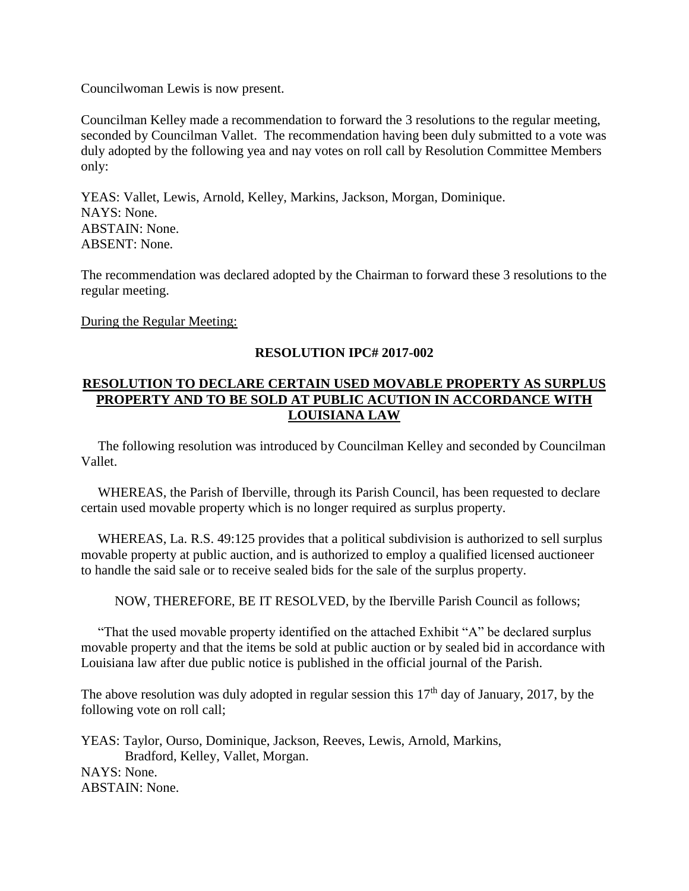Councilwoman Lewis is now present.

Councilman Kelley made a recommendation to forward the 3 resolutions to the regular meeting, seconded by Councilman Vallet. The recommendation having been duly submitted to a vote was duly adopted by the following yea and nay votes on roll call by Resolution Committee Members only:

YEAS: Vallet, Lewis, Arnold, Kelley, Markins, Jackson, Morgan, Dominique. NAYS: None. ABSTAIN: None. ABSENT: None.

The recommendation was declared adopted by the Chairman to forward these 3 resolutions to the regular meeting.

During the Regular Meeting:

# **RESOLUTION IPC# 2017-002**

# **RESOLUTION TO DECLARE CERTAIN USED MOVABLE PROPERTY AS SURPLUS PROPERTY AND TO BE SOLD AT PUBLIC ACUTION IN ACCORDANCE WITH LOUISIANA LAW**

 The following resolution was introduced by Councilman Kelley and seconded by Councilman Vallet.

 WHEREAS, the Parish of Iberville, through its Parish Council, has been requested to declare certain used movable property which is no longer required as surplus property.

WHEREAS, La. R.S. 49:125 provides that a political subdivision is authorized to sell surplus movable property at public auction, and is authorized to employ a qualified licensed auctioneer to handle the said sale or to receive sealed bids for the sale of the surplus property.

NOW, THEREFORE, BE IT RESOLVED, by the Iberville Parish Council as follows;

 "That the used movable property identified on the attached Exhibit "A" be declared surplus movable property and that the items be sold at public auction or by sealed bid in accordance with Louisiana law after due public notice is published in the official journal of the Parish.

The above resolution was duly adopted in regular session this  $17<sup>th</sup>$  day of January, 2017, by the following vote on roll call;

YEAS: Taylor, Ourso, Dominique, Jackson, Reeves, Lewis, Arnold, Markins, Bradford, Kelley, Vallet, Morgan. NAYS: None. ABSTAIN: None.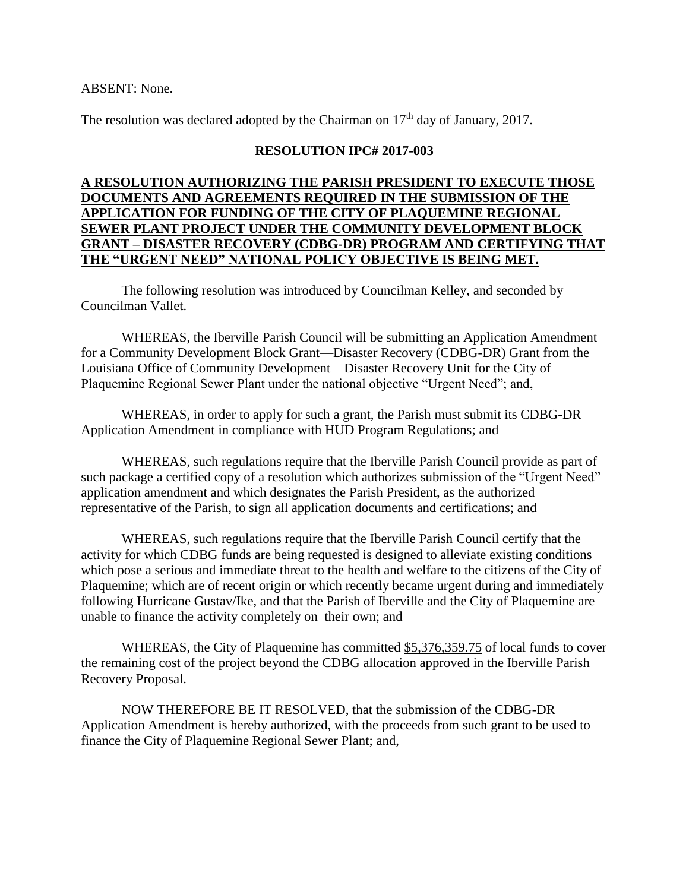### ABSENT: None.

The resolution was declared adopted by the Chairman on  $17<sup>th</sup>$  day of January, 2017.

# **RESOLUTION IPC# 2017-003**

## **A RESOLUTION AUTHORIZING THE PARISH PRESIDENT TO EXECUTE THOSE DOCUMENTS AND AGREEMENTS REQUIRED IN THE SUBMISSION OF THE APPLICATION FOR FUNDING OF THE CITY OF PLAQUEMINE REGIONAL SEWER PLANT PROJECT UNDER THE COMMUNITY DEVELOPMENT BLOCK GRANT – DISASTER RECOVERY (CDBG-DR) PROGRAM AND CERTIFYING THAT THE "URGENT NEED" NATIONAL POLICY OBJECTIVE IS BEING MET.**

The following resolution was introduced by Councilman Kelley, and seconded by Councilman Vallet.

WHEREAS, the Iberville Parish Council will be submitting an Application Amendment for a Community Development Block Grant—Disaster Recovery (CDBG-DR) Grant from the Louisiana Office of Community Development – Disaster Recovery Unit for the City of Plaquemine Regional Sewer Plant under the national objective "Urgent Need"; and,

WHEREAS, in order to apply for such a grant, the Parish must submit its CDBG-DR Application Amendment in compliance with HUD Program Regulations; and

WHEREAS, such regulations require that the Iberville Parish Council provide as part of such package a certified copy of a resolution which authorizes submission of the "Urgent Need" application amendment and which designates the Parish President, as the authorized representative of the Parish, to sign all application documents and certifications; and

WHEREAS, such regulations require that the Iberville Parish Council certify that the activity for which CDBG funds are being requested is designed to alleviate existing conditions which pose a serious and immediate threat to the health and welfare to the citizens of the City of Plaquemine; which are of recent origin or which recently became urgent during and immediately following Hurricane Gustav/Ike, and that the Parish of Iberville and the City of Plaquemine are unable to finance the activity completely on their own; and

WHEREAS, the City of Plaquemine has committed \$5,376,359.75 of local funds to cover the remaining cost of the project beyond the CDBG allocation approved in the Iberville Parish Recovery Proposal.

NOW THEREFORE BE IT RESOLVED, that the submission of the CDBG-DR Application Amendment is hereby authorized, with the proceeds from such grant to be used to finance the City of Plaquemine Regional Sewer Plant; and,